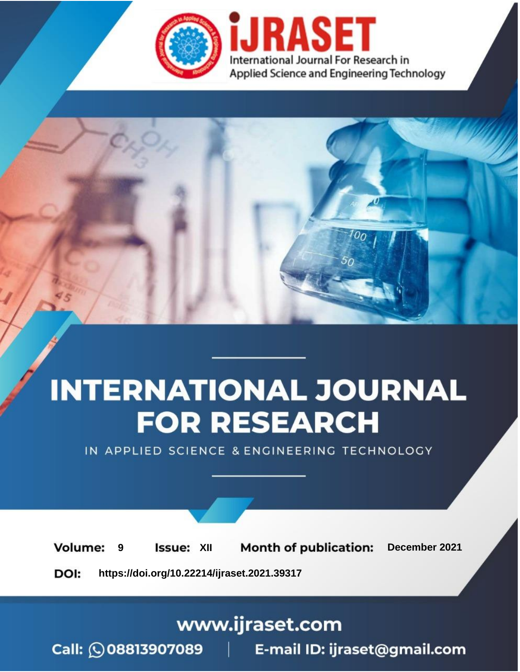

# **INTERNATIONAL JOURNAL FOR RESEARCH**

IN APPLIED SCIENCE & ENGINEERING TECHNOLOGY

**Month of publication: Volume: Issue: XII** December 2021 9 DOI: https://doi.org/10.22214/ijraset.2021.39317

www.ijraset.com

Call: 008813907089 | E-mail ID: ijraset@gmail.com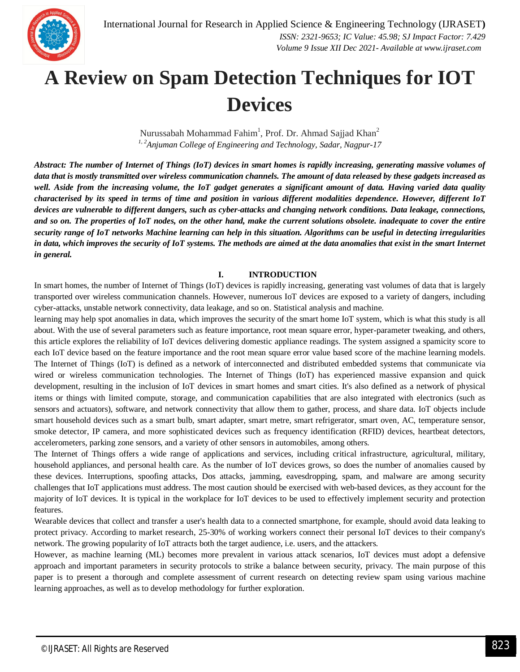

### **A Review on Spam Detection Techniques for IOT Devices**

Nurussabah Mohammad Fahim $^1$ , Prof. Dr. Ahmad Sajjad Khan $^2$ *1, 2Anjuman College of Engineering and Technology, Sadar, Nagpur-17*

*Abstract: The number of Internet of Things (IoT) devices in smart homes is rapidly increasing, generating massive volumes of data that is mostly transmitted over wireless communication channels. The amount of data released by these gadgets increased as well. Aside from the increasing volume, the IoT gadget generates a significant amount of data. Having varied data quality characterised by its speed in terms of time and position in various different modalities dependence. However, different IoT devices are vulnerable to different dangers, such as cyber-attacks and changing network conditions. Data leakage, connections, and so on. The properties of IoT nodes, on the other hand, make the current solutions obsolete. inadequate to cover the entire security range of IoT networks Machine learning can help in this situation. Algorithms can be useful in detecting irregularities in data, which improves the security of IoT systems. The methods are aimed at the data anomalies that exist in the smart Internet in general.*

#### **I. INTRODUCTION**

In smart homes, the number of Internet of Things (IoT) devices is rapidly increasing, generating vast volumes of data that is largely transported over wireless communication channels. However, numerous IoT devices are exposed to a variety of dangers, including cyber-attacks, unstable network connectivity, data leakage, and so on. Statistical analysis and machine.

learning may help spot anomalies in data, which improves the security of the smart home IoT system, which is what this study is all about. With the use of several parameters such as feature importance, root mean square error, hyper-parameter tweaking, and others, this article explores the reliability of IoT devices delivering domestic appliance readings. The system assigned a spamicity score to each IoT device based on the feature importance and the root mean square error value based score of the machine learning models. The Internet of Things (IoT) is defined as a network of interconnected and distributed embedded systems that communicate via wired or wireless communication technologies. The Internet of Things (IoT) has experienced massive expansion and quick development, resulting in the inclusion of IoT devices in smart homes and smart cities. It's also defined as a network of physical items or things with limited compute, storage, and communication capabilities that are also integrated with electronics (such as sensors and actuators), software, and network connectivity that allow them to gather, process, and share data. IoT objects include smart household devices such as a smart bulb, smart adapter, smart metre, smart refrigerator, smart oven, AC, temperature sensor, smoke detector, IP camera, and more sophisticated devices such as frequency identification (RFID) devices, heartbeat detectors, accelerometers, parking zone sensors, and a variety of other sensors in automobiles, among others.

The Internet of Things offers a wide range of applications and services, including critical infrastructure, agricultural, military, household appliances, and personal health care. As the number of IoT devices grows, so does the number of anomalies caused by these devices. Interruptions, spoofing attacks, Dos attacks, jamming, eavesdropping, spam, and malware are among security challenges that IoT applications must address. The most caution should be exercised with web-based devices, as they account for the majority of IoT devices. It is typical in the workplace for IoT devices to be used to effectively implement security and protection features.

Wearable devices that collect and transfer a user's health data to a connected smartphone, for example, should avoid data leaking to protect privacy. According to market research, 25-30% of working workers connect their personal IoT devices to their company's network. The growing popularity of IoT attracts both the target audience, i.e. users, and the attackers.

However, as machine learning (ML) becomes more prevalent in various attack scenarios, IoT devices must adopt a defensive approach and important parameters in security protocols to strike a balance between security, privacy. The main purpose of this paper is to present a thorough and complete assessment of current research on detecting review spam using various machine learning approaches, as well as to develop methodology for further exploration.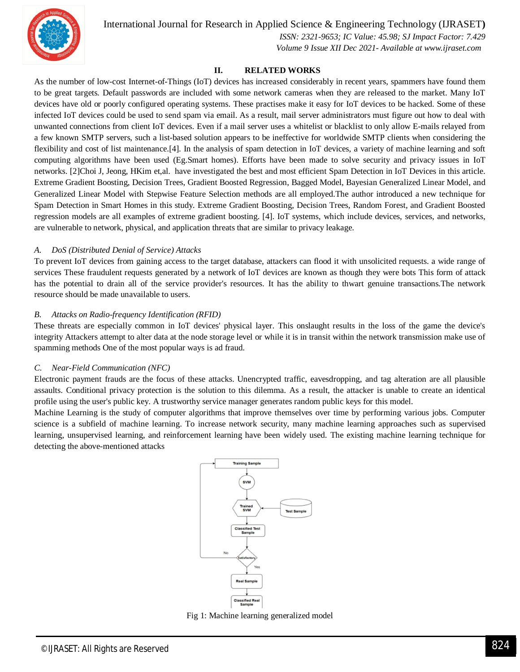

International Journal for Research in Applied Science & Engineering Technology (IJRASET**)**

 *ISSN: 2321-9653; IC Value: 45.98; SJ Impact Factor: 7.429*

 *Volume 9 Issue XII Dec 2021- Available at www.ijraset.com*

#### **II. RELATED WORKS**

As the number of low-cost Internet-of-Things (IoT) devices has increased considerably in recent years, spammers have found them to be great targets. Default passwords are included with some network cameras when they are released to the market. Many IoT devices have old or poorly configured operating systems. These practises make it easy for IoT devices to be hacked. Some of these infected IoT devices could be used to send spam via email. As a result, mail server administrators must figure out how to deal with unwanted connections from client IoT devices. Even if a mail server uses a whitelist or blacklist to only allow E-mails relayed from a few known SMTP servers, such a list-based solution appears to be ineffective for worldwide SMTP clients when considering the flexibility and cost of list maintenance.[4]. In the analysis of spam detection in IoT devices, a variety of machine learning and soft computing algorithms have been used (Eg.Smart homes). Efforts have been made to solve security and privacy issues in IoT networks. [2]Choi J, Jeong, HKim et,al. have investigated the best and most efficient Spam Detection in IoT Devices in this article. Extreme Gradient Boosting, Decision Trees, Gradient Boosted Regression, Bagged Model, Bayesian Generalized Linear Model, and Generalized Linear Model with Stepwise Feature Selection methods are all employed.The author introduced a new technique for Spam Detection in Smart Homes in this study. Extreme Gradient Boosting, Decision Trees, Random Forest, and Gradient Boosted regression models are all examples of extreme gradient boosting. [4]. IoT systems, which include devices, services, and networks, are vulnerable to network, physical, and application threats that are similar to privacy leakage.

#### *A. DoS (Distributed Denial of Service) Attacks*

To prevent IoT devices from gaining access to the target database, attackers can flood it with unsolicited requests. a wide range of services These fraudulent requests generated by a network of IoT devices are known as though they were bots This form of attack has the potential to drain all of the service provider's resources. It has the ability to thwart genuine transactions.The network resource should be made unavailable to users.

#### *B. Attacks on Radio-frequency Identification (RFID)*

These threats are especially common in IoT devices' physical layer. This onslaught results in the loss of the game the device's integrity Attackers attempt to alter data at the node storage level or while it is in transit within the network transmission make use of spamming methods One of the most popular ways is ad fraud.

#### *C. Near-Field Communication (NFC)*

Electronic payment frauds are the focus of these attacks. Unencrypted traffic, eavesdropping, and tag alteration are all plausible assaults. Conditional privacy protection is the solution to this dilemma. As a result, the attacker is unable to create an identical profile using the user's public key. A trustworthy service manager generates random public keys for this model.

Machine Learning is the study of computer algorithms that improve themselves over time by performing various jobs. Computer science is a subfield of machine learning. To increase network security, many machine learning approaches such as supervised learning, unsupervised learning, and reinforcement learning have been widely used. The existing machine learning technique for detecting the above-mentioned attacks



Fig 1: Machine learning generalized model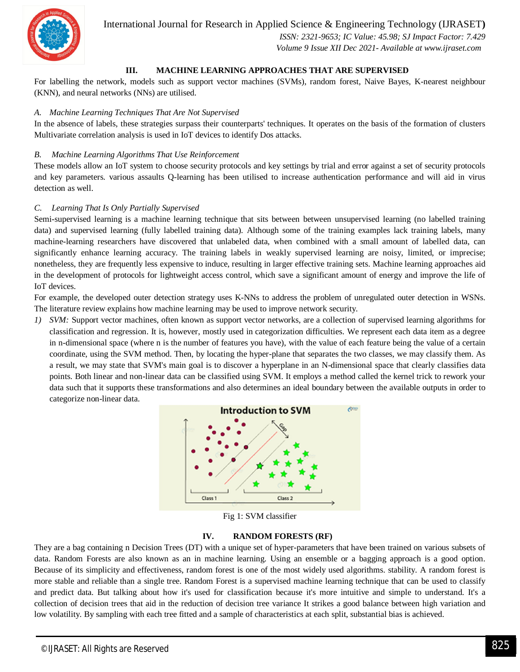

International Journal for Research in Applied Science & Engineering Technology (IJRASET**)**

 *ISSN: 2321-9653; IC Value: 45.98; SJ Impact Factor: 7.429 Volume 9 Issue XII Dec 2021- Available at www.ijraset.com*

#### **III. MACHINE LEARNING APPROACHES THAT ARE SUPERVISED**

For labelling the network, models such as support vector machines (SVMs), random forest, Naive Bayes, K-nearest neighbour (KNN), and neural networks (NNs) are utilised.

#### *A. Machine Learning Techniques That Are Not Supervised*

In the absence of labels, these strategies surpass their counterparts' techniques. It operates on the basis of the formation of clusters Multivariate correlation analysis is used in IoT devices to identify Dos attacks.

#### *B. Machine Learning Algorithms That Use Reinforcement*

These models allow an IoT system to choose security protocols and key settings by trial and error against a set of security protocols and key parameters. various assaults Q-learning has been utilised to increase authentication performance and will aid in virus detection as well.

#### *C. Learning That Is Only Partially Supervised*

Semi-supervised learning is a machine learning technique that sits between between unsupervised learning (no labelled training data) and supervised learning (fully labelled training data). Although some of the training examples lack training labels, many machine-learning researchers have discovered that unlabeled data, when combined with a small amount of labelled data, can significantly enhance learning accuracy. The training labels in weakly supervised learning are noisy, limited, or imprecise; nonetheless, they are frequently less expensive to induce, resulting in larger effective training sets. Machine learning approaches aid in the development of protocols for lightweight access control, which save a significant amount of energy and improve the life of IoT devices.

For example, the developed outer detection strategy uses K-NNs to address the problem of unregulated outer detection in WSNs. The literature review explains how machine learning may be used to improve network security.

*1) SVM:* Support vector machines, often known as support vector networks, are a collection of supervised learning algorithms for classification and regression. It is, however, mostly used in categorization difficulties. We represent each data item as a degree in n-dimensional space (where n is the number of features you have), with the value of each feature being the value of a certain coordinate, using the SVM method. Then, by locating the hyper-plane that separates the two classes, we may classify them. As a result, we may state that SVM's main goal is to discover a hyperplane in an N-dimensional space that clearly classifies data points. Both linear and non-linear data can be classified using SVM. It employs a method called the kernel trick to rework your data such that it supports these transformations and also determines an ideal boundary between the available outputs in order to categorize non-linear data.



Fig 1: SVM classifier

#### **IV. RANDOM FORESTS (RF)**

They are a bag containing n Decision Trees (DT) with a unique set of hyper-parameters that have been trained on various subsets of data. Random Forests are also known as an in machine learning. Using an ensemble or a bagging approach is a good option. Because of its simplicity and effectiveness, random forest is one of the most widely used algorithms. stability. A random forest is more stable and reliable than a single tree. Random Forest is a supervised machine learning technique that can be used to classify and predict data. But talking about how it's used for classification because it's more intuitive and simple to understand. It's a collection of decision trees that aid in the reduction of decision tree variance It strikes a good balance between high variation and low volatility. By sampling with each tree fitted and a sample of characteristics at each split, substantial bias is achieved.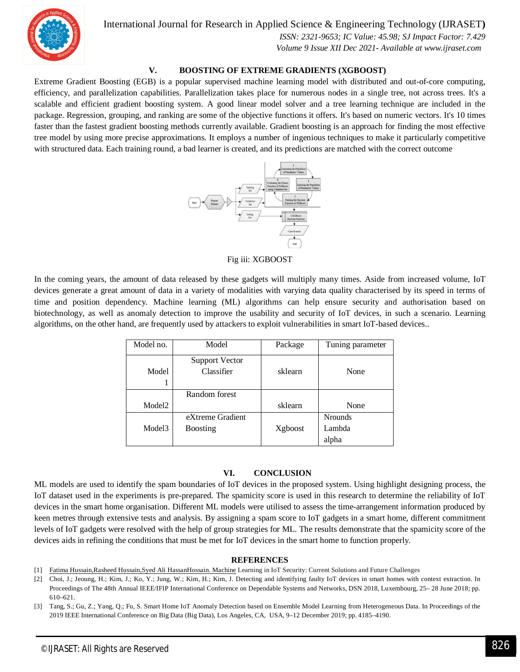International Journal for Research in Applied Science & Engineering Technology (IJRASET**)**



 *ISSN: 2321-9653; IC Value: 45.98; SJ Impact Factor: 7.429 Volume 9 Issue XII Dec 2021- Available at www.ijraset.com*

#### **V. BOOSTING OF EXTREME GRADIENTS (XGBOOST)**

Extreme Gradient Boosting (EGB) is a popular supervised machine learning model with distributed and out-of-core computing, efficiency, and parallelization capabilities. Parallelization takes place for numerous nodes in a single tree, not across trees. It's a scalable and efficient gradient boosting system. A good linear model solver and a tree learning technique are included in the package. Regression, grouping, and ranking are some of the objective functions it offers. It's based on numeric vectors. It's 10 times faster than the fastest gradient boosting methods currently available. Gradient boosting is an approach for finding the most effective tree model by using more precise approximations. It employs a number of ingenious techniques to make it particularly competitive with structured data. Each training round, a bad learner is created, and its predictions are matched with the correct outcome



Fig iii: XGBOOST

In the coming years, the amount of data released by these gadgets will multiply many times. Aside from increased volume, IoT devices generate a great amount of data in a variety of modalities with varying data quality characterised by its speed in terms of time and position dependency. Machine learning (ML) algorithms can help ensure security and authorisation based on biotechnology, as well as anomaly detection to improve the usability and security of IoT devices, in such a scenario. Learning algorithms, on the other hand, are frequently used by attackers to exploit vulnerabilities in smart IoT-based devices..

| Model no.          | Model                               | Package | Tuning parameter |
|--------------------|-------------------------------------|---------|------------------|
| Model              | <b>Support Vector</b><br>Classifier | sklearn | None             |
|                    | Random forest                       |         |                  |
| Model <sub>2</sub> |                                     | sklearn | None             |
|                    | eXtreme Gradient                    |         | <b>Nrounds</b>   |
| Model <sub>3</sub> | <b>Boosting</b>                     | Xgboost | Lambda           |
|                    |                                     |         | alpha            |

#### **VI. CONCLUSION**

ML models are used to identify the spam boundaries of IoT devices in the proposed system. Using highlight designing process, the IoT dataset used in the experiments is pre-prepared. The spamicity score is used in this research to determine the reliability of IoT devices in the smart home organisation. Different ML models were utilised to assess the time-arrangement information produced by keen metres through extensive tests and analysis. By assigning a spam score to IoT gadgets in a smart home, different commitment levels of IoT gadgets were resolved with the help of group strategies for ML. The results demonstrate that the spamicity score of the devices aids in refining the conditions that must be met for IoT devices in the smart home to function properly.

#### **REFERENCES**

- [1] Fatima Hussain,Rasheed Hussain,Syed Ali HassanHossain. Machine Learning in IoT Security: Current Solutions and Future Challenges
- [2] Choi, J.; Jeoung, H.; Kim, J.; Ko, Y.; Jung, W.; Kim, H.; Kim, J. Detecting and identifying faulty IoT devices in smart homes with context extraction. In Proceedings of The 48th Annual IEEE/IFIP International Conference on Dependable Systems and Networks, DSN 2018, Luxembourg, 25– 28 June 2018; pp. 610–621.
- [3] Tang, S.; Gu, Z.; Yang, Q.; Fu, S. Smart Home IoT Anomaly Detection based on Ensemble Model Learning from Heterogeneous Data. In Proceedings of the 2019 IEEE International Conference on Big Data (Big Data), Los Angeles, CA, USA, 9–12 December 2019; pp. 4185–4190.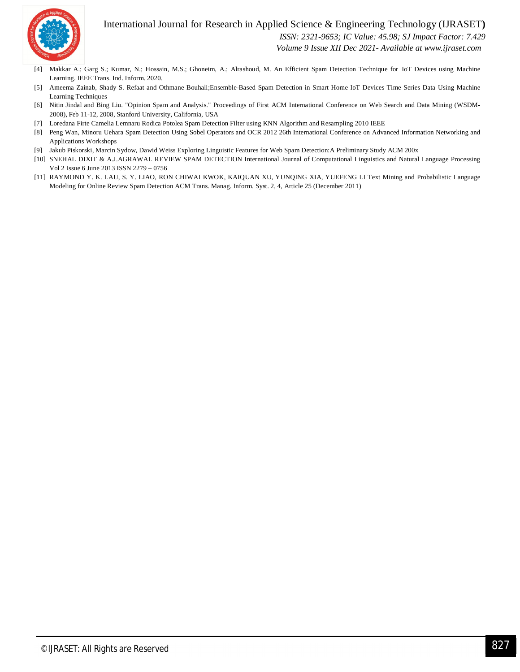



 *ISSN: 2321-9653; IC Value: 45.98; SJ Impact Factor: 7.429 Volume 9 Issue XII Dec 2021- Available at www.ijraset.com*

- [4] Makkar A.; Garg S.; Kumar, N.; Hossain, M.S.; Ghoneim, A.; Alrashoud, M. An Efficient Spam Detection Technique for IoT Devices using Machine Learning. IEEE Trans. Ind. Inform. 2020.
- [5] Ameema Zainab, Shady S. Refaat and Othmane Bouhali;Ensemble-Based Spam Detection in Smart Home IoT Devices Time Series Data Using Machine Learning Techniques
- [6] Nitin Jindal and Bing Liu. "Opinion Spam and Analysis." Proceedings of First ACM International Conference on Web Search and Data Mining (WSDM-2008), Feb 11-12, 2008, Stanford University, California, USA
- [7] Loredana Firte Camelia Lemnaru Rodica Potolea Spam Detection Filter using KNN Algorithm and Resampling 2010 IEEE
- [8] Peng Wan, Minoru Uehara Spam Detection Using Sobel Operators and OCR 2012 26th International Conference on Advanced Information Networking and Applications Workshops
- [9] Jakub Piskorski, Marcin Sydow, Dawid Weiss Exploring Linguistic Features for Web Spam Detection:A Preliminary Study ACM 200x
- [10] SNEHAL DIXIT & A.J.AGRAWAL REVIEW SPAM DETECTION International Journal of Computational Linguistics and Natural Language Processing Vol 2 Issue 6 June 2013 ISSN 2279 – 0756
- [11] RAYMOND Y. K. LAU, S. Y. LIAO, RON CHIWAI KWOK, KAIQUAN XU, YUNQING XIA, YUEFENG LI Text Mining and Probabilistic Language Modeling for Online Review Spam Detection ACM Trans. Manag. Inform. Syst. 2, 4, Article 25 (December 2011)